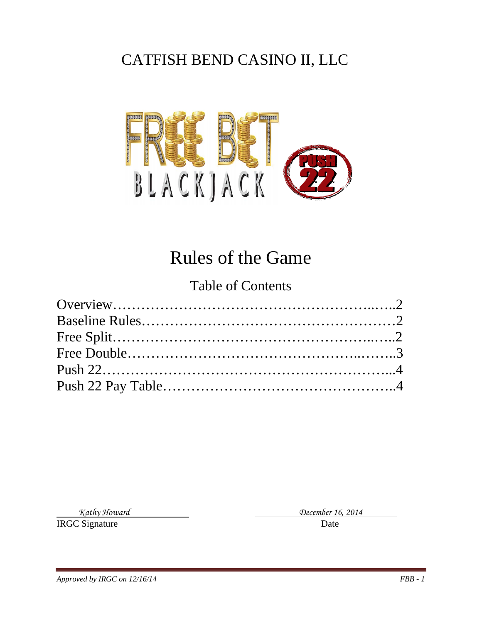# CATFISH BEND CASINO II, LLC



# Rules of the Game

#### Table of Contents

**IRGC Signature** Date

*Kathy Howard December 16, 2014*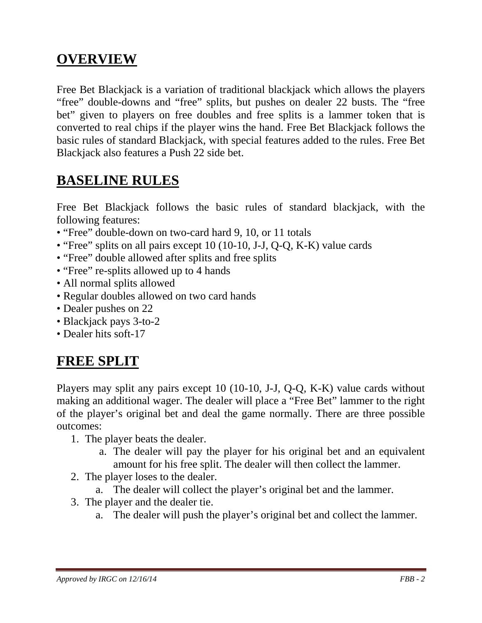### **OVERVIEW**

Free Bet Blackjack is a variation of traditional blackjack which allows the players "free" double-downs and "free" splits, but pushes on dealer 22 busts. The "free bet" given to players on free doubles and free splits is a lammer token that is converted to real chips if the player wins the hand. Free Bet Blackjack follows the basic rules of standard Blackjack, with special features added to the rules. Free Bet Blackjack also features a Push 22 side bet.

### **BASELINE RULES**

Free Bet Blackjack follows the basic rules of standard blackjack, with the following features:

- "Free" double-down on two-card hard 9, 10, or 11 totals
- "Free" splits on all pairs except 10 (10-10, J-J, Q-Q, K-K) value cards
- "Free" double allowed after splits and free splits
- "Free" re-splits allowed up to 4 hands
- All normal splits allowed
- Regular doubles allowed on two card hands
- Dealer pushes on 22
- Blackjack pays 3-to-2
- Dealer hits soft-17

## **FREE SPLIT**

Players may split any pairs except 10 (10-10, J-J, Q-Q, K-K) value cards without making an additional wager. The dealer will place a "Free Bet" lammer to the right of the player's original bet and deal the game normally. There are three possible outcomes:

- 1. The player beats the dealer.
	- a. The dealer will pay the player for his original bet and an equivalent amount for his free split. The dealer will then collect the lammer.
- 2. The player loses to the dealer.
	- a. The dealer will collect the player's original bet and the lammer.
- 3. The player and the dealer tie.
	- a. The dealer will push the player's original bet and collect the lammer.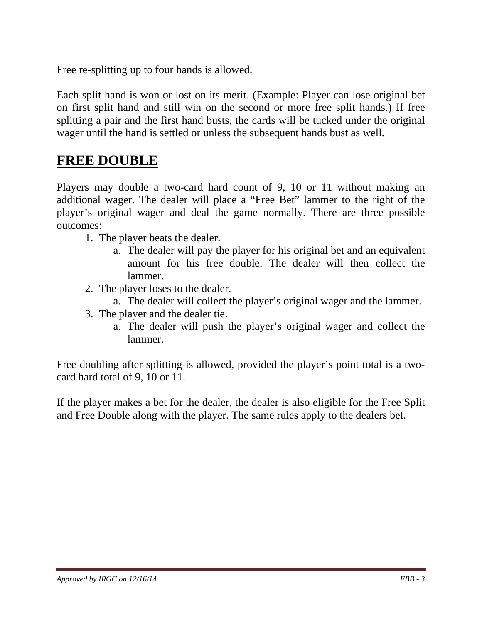Free re-splitting up to four hands is allowed.

Each split hand is won or lost on its merit. (Example: Player can lose original bet on first split hand and still win on the second or more free split hands.) If free splitting a pair and the first hand busts, the cards will be tucked under the original wager until the hand is settled or unless the subsequent hands bust as well.

#### **FREE DOUBLE**

Players may double a two-card hard count of 9, 10 or 11 without making an additional wager. The dealer will place a "Free Bet" lammer to the right of the player's original wager and deal the game normally. There are three possible outcomes:

- 1. The player beats the dealer.
	- a. The dealer will pay the player for his original bet and an equivalent amount for his free double. The dealer will then collect the lammer.
- 2. The player loses to the dealer.
	- a. The dealer will collect the player's original wager and the lammer.
- 3. The player and the dealer tie.
	- a. The dealer will push the player's original wager and collect the lammer.

Free doubling after splitting is allowed, provided the player's point total is a twocard hard total of 9, 10 or 11.

If the player makes a bet for the dealer, the dealer is also eligible for the Free Split and Free Double along with the player. The same rules apply to the dealers bet.